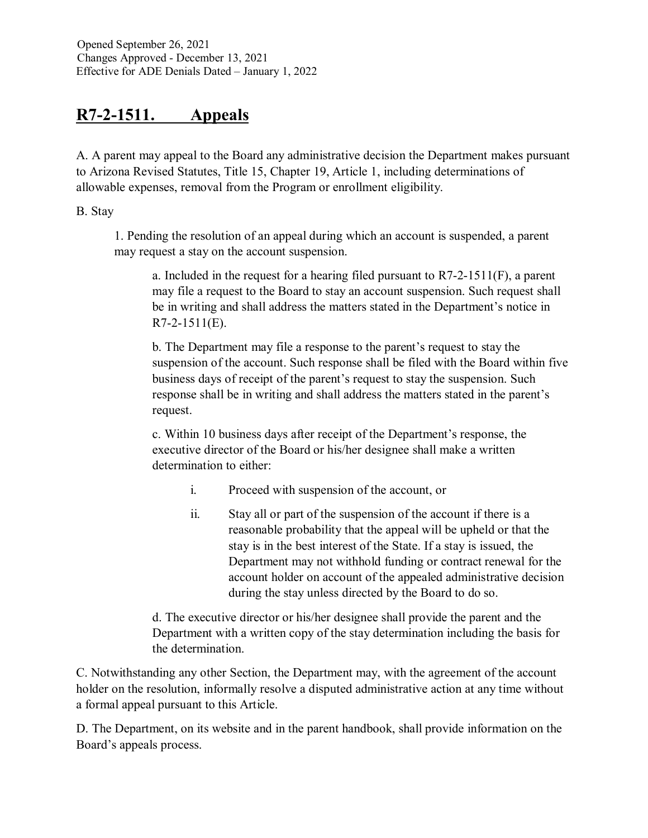# **R7-2-1511. Appeals**

A. A parent may appeal to the Board any administrative decision the Department makes pursuant to Arizona Revised Statutes, Title 15, Chapter 19, Article 1, including determinations of allowable expenses, removal from the Program or enrollment eligibility.

B. Stay

1. Pending the resolution of an appeal during which an account is suspended, a parent may request a stay on the account suspension.

a. Included in the request for a hearing filed pursuant to  $R7-2-1511(F)$ , a parent may file a request to the Board to stay an account suspension. Such request shall be in writing and shall address the matters stated in the Department's notice in R7-2-1511(E).

b. The Department may file a response to the parent's request to stay the suspension of the account. Such response shall be filed with the Board within five business days of receipt of the parent's request to stay the suspension. Such response shall be in writing and shall address the matters stated in the parent's request.

c. Within 10 business days after receipt of the Department's response, the executive director of the Board or his/her designee shall make a written determination to either:

- i. Proceed with suspension of the account, or
- ii. Stay all or part of the suspension of the account if there is a reasonable probability that the appeal will be upheld or that the stay is in the best interest of the State. If a stay is issued, the Department may not withhold funding or contract renewal for the account holder on account of the appealed administrative decision during the stay unless directed by the Board to do so.

d. The executive director or his/her designee shall provide the parent and the Department with a written copy of the stay determination including the basis for the determination.

C. Notwithstanding any other Section, the Department may, with the agreement of the account holder on the resolution, informally resolve a disputed administrative action at any time without a formal appeal pursuant to this Article.

D. The Department, on its website and in the parent handbook, shall provide information on the Board's appeals process.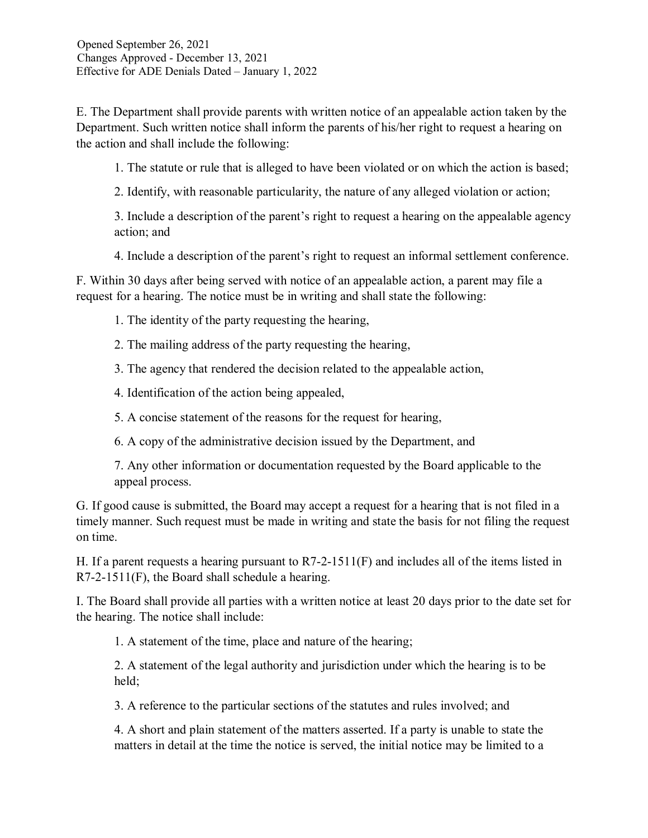E. The Department shall provide parents with written notice of an appealable action taken by the Department. Such written notice shall inform the parents of his/her right to request a hearing on the action and shall include the following:

1. The statute or rule that is alleged to have been violated or on which the action is based;

2. Identify, with reasonable particularity, the nature of any alleged violation or action;

3. Include a description of the parent's right to request a hearing on the appealable agency action; and

4. Include a description of the parent's right to request an informal settlement conference.

F. Within 30 days after being served with notice of an appealable action, a parent may file a request for a hearing. The notice must be in writing and shall state the following:

1. The identity of the party requesting the hearing,

2. The mailing address of the party requesting the hearing,

3. The agency that rendered the decision related to the appealable action,

4. Identification of the action being appealed,

5. A concise statement of the reasons for the request for hearing,

6. A copy of the administrative decision issued by the Department, and

7. Any other information or documentation requested by the Board applicable to the appeal process.

G. If good cause is submitted, the Board may accept a request for a hearing that is not filed in a timely manner. Such request must be made in writing and state the basis for not filing the request on time.

H. If a parent requests a hearing pursuant to R7-2-1511(F) and includes all of the items listed in R7-2-1511(F), the Board shall schedule a hearing.

I. The Board shall provide all parties with a written notice at least 20 days prior to the date set for the hearing. The notice shall include:

1. A statement of the time, place and nature of the hearing;

2. A statement of the legal authority and jurisdiction under which the hearing is to be held;

3. A reference to the particular sections of the statutes and rules involved; and

4. A short and plain statement of the matters asserted. If a party is unable to state the matters in detail at the time the notice is served, the initial notice may be limited to a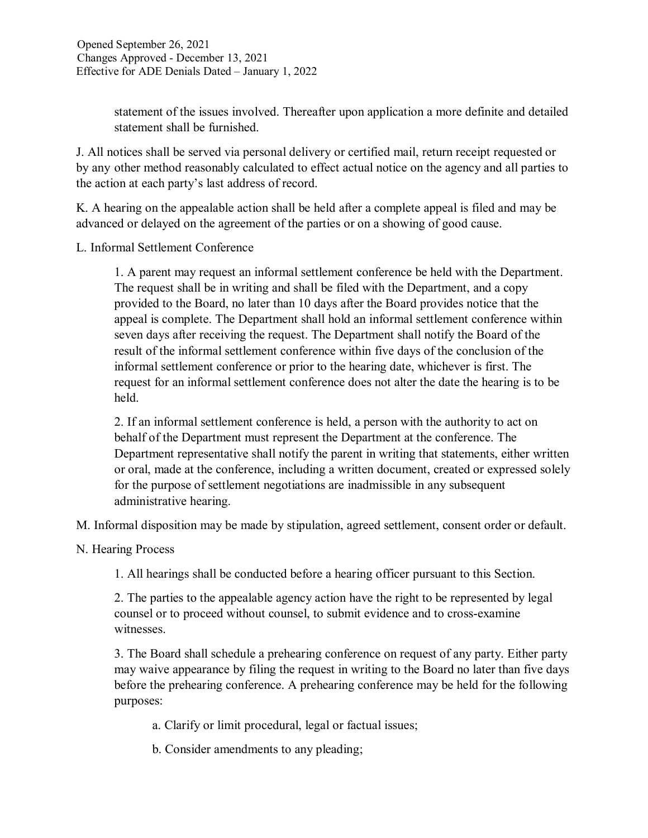statement of the issues involved. Thereafter upon application a more definite and detailed statement shall be furnished.

J. All notices shall be served via personal delivery or certified mail, return receipt requested or by any other method reasonably calculated to effect actual notice on the agency and all parties to the action at each party's last address of record.

K. A hearing on the appealable action shall be held after a complete appeal is filed and may be advanced or delayed on the agreement of the parties or on a showing of good cause.

L. Informal Settlement Conference

1. A parent may request an informal settlement conference be held with the Department. The request shall be in writing and shall be filed with the Department, and a copy provided to the Board, no later than 10 days after the Board provides notice that the appeal is complete. The Department shall hold an informal settlement conference within seven days after receiving the request. The Department shall notify the Board of the result of the informal settlement conference within five days of the conclusion of the informal settlement conference or prior to the hearing date, whichever is first. The request for an informal settlement conference does not alter the date the hearing is to be held.

2. If an informal settlement conference is held, a person with the authority to act on behalf of the Department must represent the Department at the conference. The Department representative shall notify the parent in writing that statements, either written or oral, made at the conference, including a written document, created or expressed solely for the purpose of settlement negotiations are inadmissible in any subsequent administrative hearing.

M. Informal disposition may be made by stipulation, agreed settlement, consent order or default.

N. Hearing Process

1. All hearings shall be conducted before a hearing officer pursuant to this Section.

2. The parties to the appealable agency action have the right to be represented by legal counsel or to proceed without counsel, to submit evidence and to cross-examine witnesses.

3. The Board shall schedule a prehearing conference on request of any party. Either party may waive appearance by filing the request in writing to the Board no later than five days before the prehearing conference. A prehearing conference may be held for the following purposes:

a. Clarify or limit procedural, legal or factual issues;

b. Consider amendments to any pleading;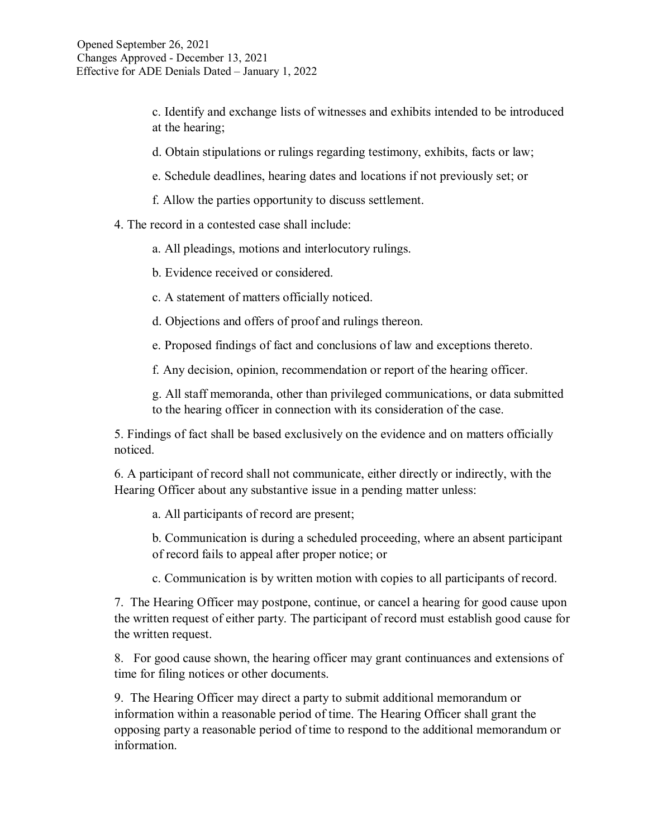c. Identify and exchange lists of witnesses and exhibits intended to be introduced at the hearing;

d. Obtain stipulations or rulings regarding testimony, exhibits, facts or law;

e. Schedule deadlines, hearing dates and locations if not previously set; or

f. Allow the parties opportunity to discuss settlement.

4. The record in a contested case shall include:

a. All pleadings, motions and interlocutory rulings.

b. Evidence received or considered.

c. A statement of matters officially noticed.

d. Objections and offers of proof and rulings thereon.

e. Proposed findings of fact and conclusions of law and exceptions thereto.

f. Any decision, opinion, recommendation or report of the hearing officer.

g. All staff memoranda, other than privileged communications, or data submitted to the hearing officer in connection with its consideration of the case.

5. Findings of fact shall be based exclusively on the evidence and on matters officially noticed.

6. A participant of record shall not communicate, either directly or indirectly, with the Hearing Officer about any substantive issue in a pending matter unless:

a. All participants of record are present;

b. Communication is during a scheduled proceeding, where an absent participant of record fails to appeal after proper notice; or

c. Communication is by written motion with copies to all participants of record.

7. The Hearing Officer may postpone, continue, or cancel a hearing for good cause upon the written request of either party. The participant of record must establish good cause for the written request.

8. For good cause shown, the hearing officer may grant continuances and extensions of time for filing notices or other documents.

9. The Hearing Officer may direct a party to submit additional memorandum or information within a reasonable period of time. The Hearing Officer shall grant the opposing party a reasonable period of time to respond to the additional memorandum or information.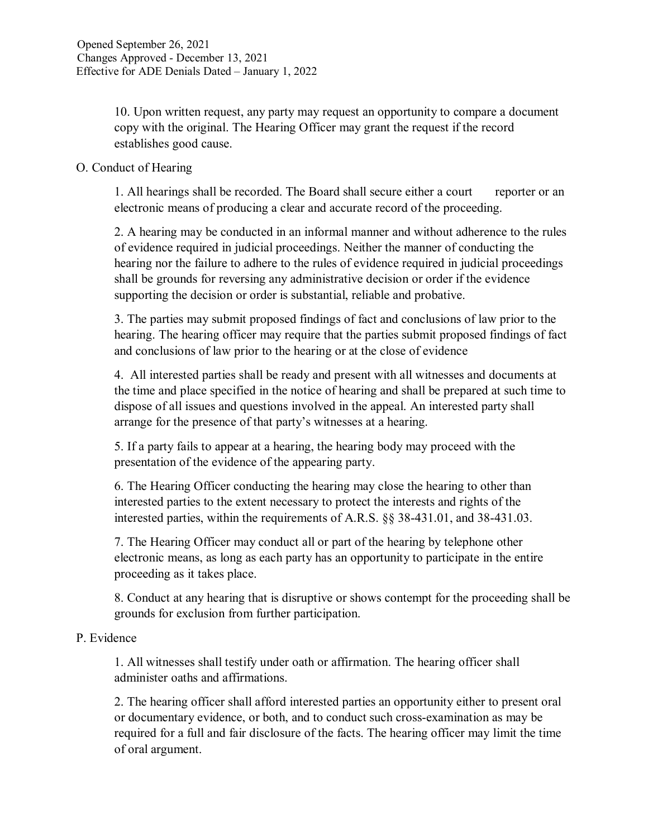10. Upon written request, any party may request an opportunity to compare a document copy with the original. The Hearing Officer may grant the request if the record establishes good cause.

### O. Conduct of Hearing

1. All hearings shall be recorded. The Board shall secure either a court reporter or an electronic means of producing a clear and accurate record of the proceeding.

2. A hearing may be conducted in an informal manner and without adherence to the rules of evidence required in judicial proceedings. Neither the manner of conducting the hearing nor the failure to adhere to the rules of evidence required in judicial proceedings shall be grounds for reversing any administrative decision or order if the evidence supporting the decision or order is substantial, reliable and probative.

3. The parties may submit proposed findings of fact and conclusions of law prior to the hearing. The hearing officer may require that the parties submit proposed findings of fact and conclusions of law prior to the hearing or at the close of evidence

4. All interested parties shall be ready and present with all witnesses and documents at the time and place specified in the notice of hearing and shall be prepared at such time to dispose of all issues and questions involved in the appeal. An interested party shall arrange for the presence of that party's witnesses at a hearing.

5. If a party fails to appear at a hearing, the hearing body may proceed with the presentation of the evidence of the appearing party.

6. The Hearing Officer conducting the hearing may close the hearing to other than interested parties to the extent necessary to protect the interests and rights of the interested parties, within the requirements of A.R.S. §§ 38-431.01, and 38-431.03.

7. The Hearing Officer may conduct all or part of the hearing by telephone other electronic means, as long as each party has an opportunity to participate in the entire proceeding as it takes place.

8. Conduct at any hearing that is disruptive or shows contempt for the proceeding shall be grounds for exclusion from further participation.

## P. Evidence

1. All witnesses shall testify under oath or affirmation. The hearing officer shall administer oaths and affirmations.

2. The hearing officer shall afford interested parties an opportunity either to present oral or documentary evidence, or both, and to conduct such cross-examination as may be required for a full and fair disclosure of the facts. The hearing officer may limit the time of oral argument.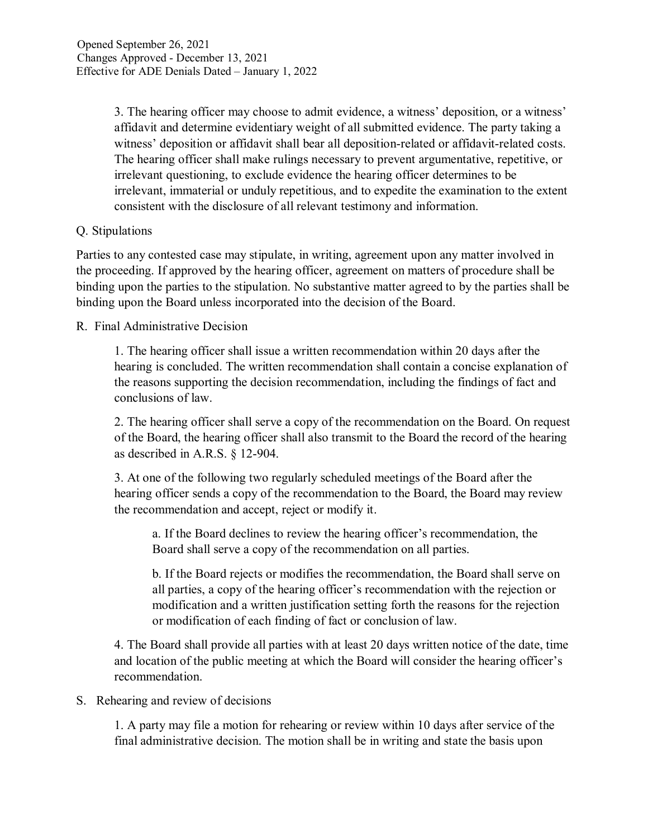3. The hearing officer may choose to admit evidence, a witness' deposition, or a witness' affidavit and determine evidentiary weight of all submitted evidence. The party taking a witness' deposition or affidavit shall bear all deposition-related or affidavit-related costs. The hearing officer shall make rulings necessary to prevent argumentative, repetitive, or irrelevant questioning, to exclude evidence the hearing officer determines to be irrelevant, immaterial or unduly repetitious, and to expedite the examination to the extent consistent with the disclosure of all relevant testimony and information.

## Q. Stipulations

Parties to any contested case may stipulate, in writing, agreement upon any matter involved in the proceeding. If approved by the hearing officer, agreement on matters of procedure shall be binding upon the parties to the stipulation. No substantive matter agreed to by the parties shall be binding upon the Board unless incorporated into the decision of the Board.

## R. Final Administrative Decision

1. The hearing officer shall issue a written recommendation within 20 days after the hearing is concluded. The written recommendation shall contain a concise explanation of the reasons supporting the decision recommendation, including the findings of fact and conclusions of law.

2. The hearing officer shall serve a copy of the recommendation on the Board. On request of the Board, the hearing officer shall also transmit to the Board the record of the hearing as described in A.R.S. § 12-904.

3. At one of the following two regularly scheduled meetings of the Board after the hearing officer sends a copy of the recommendation to the Board, the Board may review the recommendation and accept, reject or modify it.

a. If the Board declines to review the hearing officer's recommendation, the Board shall serve a copy of the recommendation on all parties.

b. If the Board rejects or modifies the recommendation, the Board shall serve on all parties, a copy of the hearing officer's recommendation with the rejection or modification and a written justification setting forth the reasons for the rejection or modification of each finding of fact or conclusion of law.

4. The Board shall provide all parties with at least 20 days written notice of the date, time and location of the public meeting at which the Board will consider the hearing officer's recommendation.

## S. Rehearing and review of decisions

1. A party may file a motion for rehearing or review within 10 days after service of the final administrative decision. The motion shall be in writing and state the basis upon